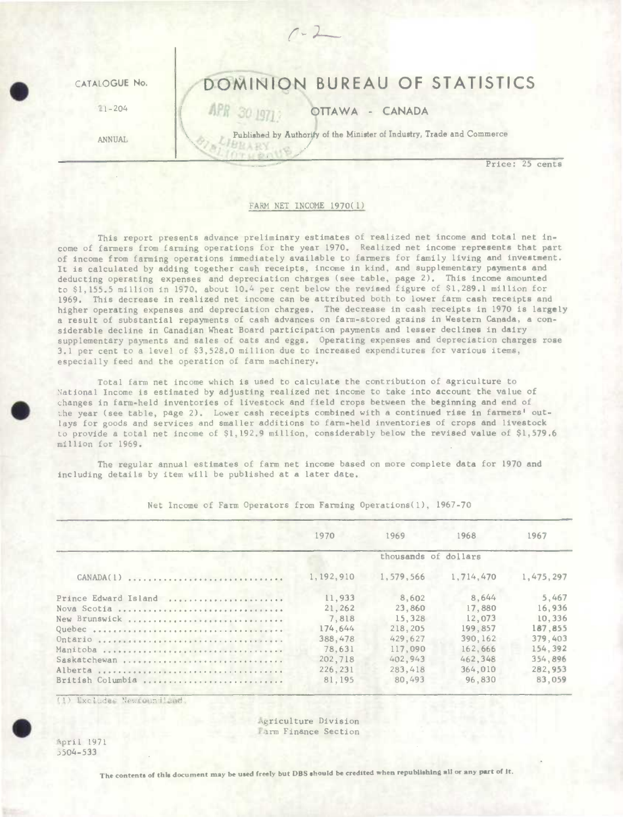

## FARM NET INCOME 1970(1)

This report presents advance preliminary estimates of realized net income and total net income of farmers from farming operations for the year 1970. Realized net income represents that part of income from farming operations immediately available to farmers for family living and investment. It is calculated by adding together cash receipts, income in kind, and supplementary payments and deducting operating expenses and depreciation charges (see table, page 2). This income amounted to \$1,155.5 million in 1970, about 10.4 per cent below the revised figure of \$1,289.1 million for 1969. This decrease in realized net income can be attributed both to lower farm cash receipts and higher operating expenses and depreciation charges. The decrease in cash receipts in 1970 is largely a result of substantial repayments of cash advances on farm-stored grains in Western Canada, a considerable decline in Canadian Wheat Board participation payments and lesser declines in dairy supplementary payments and sales of oats and eggs. Operating expenses and depreciation charges rose 3.1 per cent to a level of \$3,528.0 million due to increased expenditures for various items, especially feed and the operation of farm machinery.

Total farm net income which is used to calculate the contribution of agriculture to National Income is estimated by adjusting realized net income to take into account the value of • changes in farm-held inventories of livestock and field crops between the beginning and end of the year (see table, page 2). Lower cash receipts combined with a continued rise in farmers' outlays for goods and services and smaller additions to farm-held inventories of crops and livestock Lo provide a total net income of \$1,192.9 million, considerably below the revised value of \$1,579.6 million for 1969.

The regular annual estimates of farm net income based on more complete data for 1970 and including details by item will be published at a later date.

|                                                 | 1970      | 1969                 | 1968      | 1967        |
|-------------------------------------------------|-----------|----------------------|-----------|-------------|
|                                                 |           | thousands of dollars |           |             |
| $CANADA(1)$ ,,,,,,,,,,,,,,,,,,,,,,,,,,,,,,,,,,, | 1,192,910 | 1,579,566            | 1,714,470 | 1, 475, 297 |
| Prince Edward Island                            | 11,933    | 8,602                | 8.644     | 5.467       |
| Nova Scotia                                     | 21, 262   | 23,860               | 17,880    | 16,936      |
| New Brunswick                                   | 7,818     | 15,328               | 12,073    | 10.336      |
|                                                 | 174.644   | 218, 205             | 199,857   | 187,855     |
|                                                 | 388,478   | 429.627              | 390, 162  | 379,403     |
| Manitoba                                        | 78.631    | 117,090              | 162.666   | 154.392     |
| Saskatchewan                                    | 202,718   | 402.943              | 462.348   | 354.896     |
|                                                 | 226,231   | 283.418              | 364,010   | 282.953     |
| British Columbia                                | 81,195    | 80,493               | 96,830    | 83,059      |

Net Income of Farm Operators from Farming Operations(l), 1967-70

(1) Excludes Newfoundland.

Agriculture Division arm Finance Section

April 1971 5O4- 533

 $\bullet$ 

The contents of this document may be used freely but DBS should be credited when republishing all or any part of it.